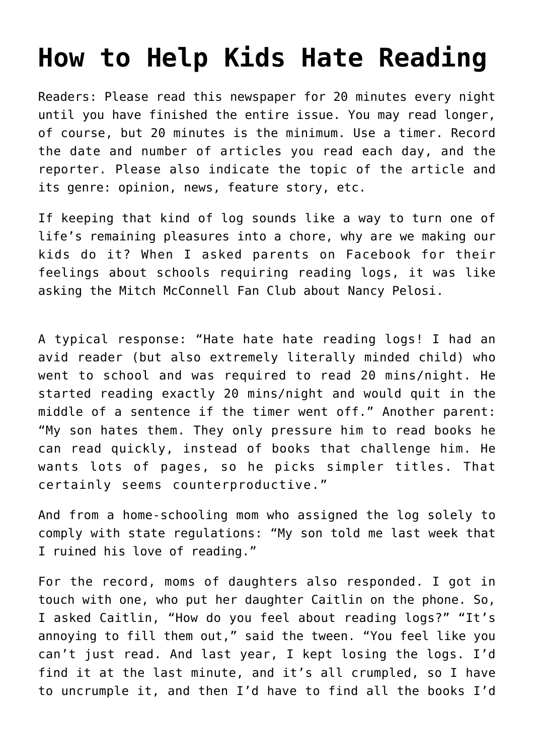## **[How to Help Kids Hate Reading](https://intellectualtakeout.org/2020/12/how-to-help-kids-hate-reading/)**

Readers: Please read this newspaper for 20 minutes every night until you have finished the entire issue. You may read longer, of course, but 20 minutes is the minimum. Use a timer. Record the date and number of articles you read each day, and the reporter. Please also indicate the topic of the article and its genre: opinion, news, feature story, etc.

If keeping that kind of log sounds like a way to turn one of life's remaining pleasures into a chore, why are we making our kids do it? When I asked parents on Facebook for their feelings about schools requiring reading logs, it was like asking the Mitch McConnell Fan Club about Nancy Pelosi.

A typical response: "Hate hate hate reading logs! I had an avid reader (but also extremely literally minded child) who went to school and was required to read 20 mins/night. He started reading exactly 20 mins/night and would quit in the middle of a sentence if the timer went off." Another parent: "My son hates them. They only pressure him to read books he can read quickly, instead of books that challenge him. He wants lots of pages, so he picks simpler titles. That certainly seems counterproductive."

And from a home-schooling mom who assigned the log solely to comply with state regulations: "My son told me last week that I ruined his love of reading."

For the record, moms of daughters also responded. I got in touch with one, who put her daughter Caitlin on the phone. So, I asked Caitlin, "How do you feel about reading logs?" "It's annoying to fill them out," said the tween. "You feel like you can't just read. And last year, I kept losing the logs. I'd find it at the last minute, and it's all crumpled, so I have to uncrumple it, and then I'd have to find all the books I'd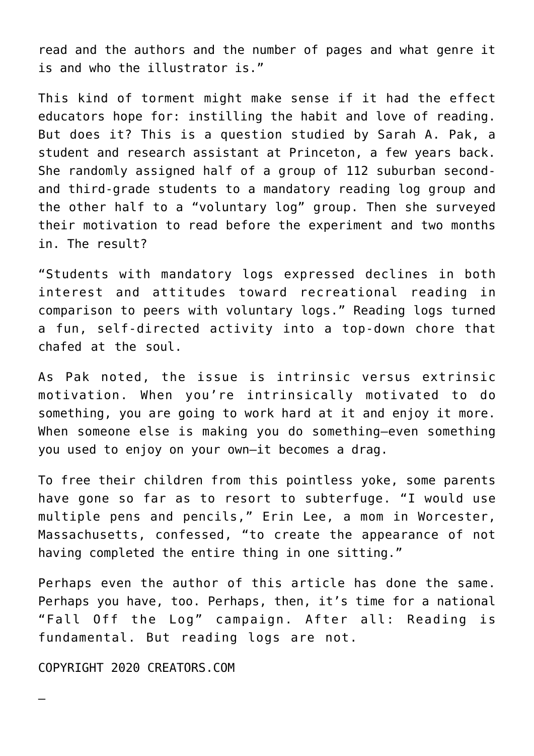read and the authors and the number of pages and what genre it is and who the illustrator is."

This kind of torment might make sense if it had the effect educators hope for: instilling the habit and love of reading. But does it? This is a question studied by Sarah A. Pak, a student and research assistant at Princeton, a few years back. She randomly assigned half of a group of 112 suburban secondand third-grade students to a mandatory reading log group and the other half to a "voluntary log" group. Then she surveyed their motivation to read before the experiment and two months in. The result?

"Students with mandatory logs expressed declines in both interest and attitudes toward recreational reading in comparison to peers with voluntary logs." Reading logs turned a fun, self-directed activity into a top-down chore that chafed at the soul.

As Pak noted, the issue is intrinsic versus extrinsic motivation. When you're intrinsically motivated to do something, you are going to work hard at it and enjoy it more. When someone else is making you do something—even something you used to enjoy on your own—it becomes a drag.

To free their children from this pointless yoke, some parents have gone so far as to resort to subterfuge. "I would use multiple pens and pencils," Erin Lee, a mom in Worcester, Massachusetts, confessed, "to create the appearance of not having completed the entire thing in one sitting."

Perhaps even the author of this article has done the same. Perhaps you have, too. Perhaps, then, it's time for a national "Fall Off the Log" campaign. After all: Reading is fundamental. But reading logs are not.

COPYRIGHT 2020 CREATORS.COM